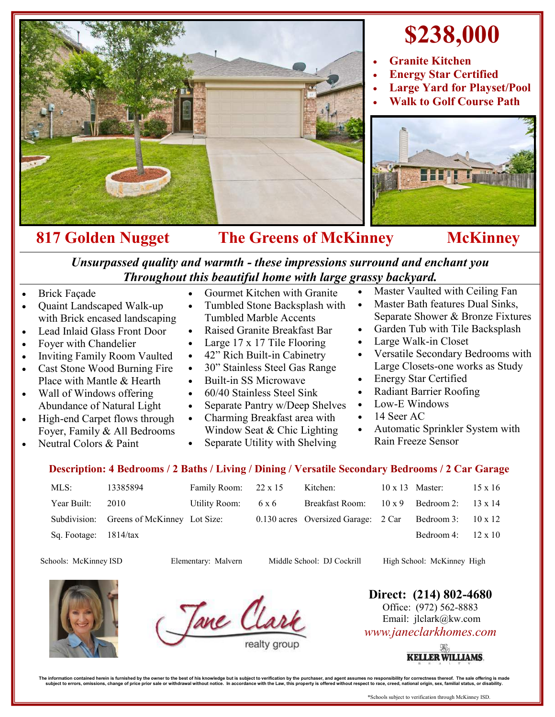

## **\$238,000**

- **Granite Kitchen**
- **Energy Star Certified**
- **Large Yard for Playset/Pool**
- **Walk to Golf Course Path**



## 817 Golden Nugget The Greens of McKinney McKinney

*Unsurpassed quality and warmth - these impressions surround and enchant you Throughout this beautiful home with large grassy backyard.*

- Brick Façade
- Quaint Landscaped Walk-up with Brick encased landscaping
- Lead Inlaid Glass Front Door
- Foyer with Chandelier
- Inviting Family Room Vaulted
- Cast Stone Wood Burning Fire Place with Mantle & Hearth
- Wall of Windows offering Abundance of Natural Light
- High-end Carpet flows through Foyer, Family & All Bedrooms
- Neutral Colors & Paint
- Gourmet Kitchen with Granite
- Tumbled Stone Backsplash with Tumbled Marble Accents
- Raised Granite Breakfast Bar
- Large 17 x 17 Tile Flooring
- 42" Rich Built-in Cabinetry
- 30" Stainless Steel Gas Range
- Built-in SS Microwave
- 60/40 Stainless Steel Sink
- Separate Pantry w/Deep Shelves
- Charming Breakfast area with Window Seat & Chic Lighting
- Separate Utility with Shelving
- Master Vaulted with Ceiling Fan
- Master Bath features Dual Sinks, Separate Shower & Bronze Fixtures
- Garden Tub with Tile Backsplash
- Large Walk-in Closet
- Versatile Secondary Bedrooms with Large Closets-one works as Study
- Energy Star Certified
- Radiant Barrier Roofing
- Low-E Windows
- 14 Seer AC
- Automatic Sprinkler System with Rain Freeze Sensor

## **Description: 4 Bedrooms / 2 Baths / Living / Dining / Versatile Secondary Bedrooms / 2 Car Garage**

| MLS:                  | 13385894                                  | Family Room: 22 x 15 |       | Kitchen:                                                                | $10 \times 13$ Master:    | $15 \times 16$ |
|-----------------------|-------------------------------------------|----------------------|-------|-------------------------------------------------------------------------|---------------------------|----------------|
| Year Built:           | 2010                                      | Utility Room:        | 6 x 6 | Breakfast Room: $10 \times 9$ Bedroom 2: $13 \times 14$                 |                           |                |
|                       | Subdivision: Greens of McKinney Lot Size: |                      |       | 0.130 acres Oversized Garage: $2 \text{ Car}$ Bedroom 3: $10 \times 12$ |                           |                |
| Sq. Footage: 1814/tax |                                           |                      |       |                                                                         | Bedroom 4: $12 \times 10$ |                |

Schools: McKinney ISD Elementary: Malvern Middle School: DJ Cockrill High School: McKinney High

Jane Clar

**Direct: (214) 802-4680** Office: (972) 562-8883 Email: jlclark@kw.com

*www.janeclarkhomes.com*



The information contained heren is furnished by the owner to the best of his knowledge but is usuplect to verification by the purchaser, and agent assumes no responsibility for corrections then incompted in accordance with